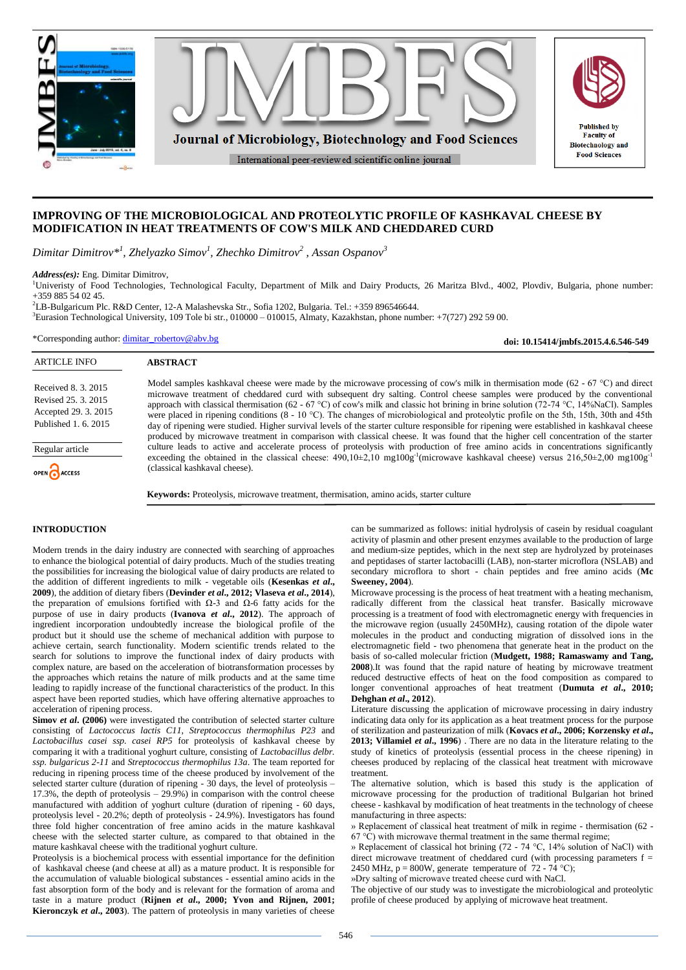

# **IMPROVING OF THE MICROBIOLOGICAL AND PROTEOLYTIC PROFILE OF KASHKAVAL CHEESE BY MODIFICATION IN HEAT TREATMENTS OF COW'S MILK AND CHEDDARED CURD**

*Dimitar Dimitrov\* 1 , Zhelyazko Simov<sup>1</sup> , Zhechko Dimitrov<sup>2</sup> , Assan Ospanov<sup>3</sup>*

*Address(es):* Eng. Dimitar Dimitrov,

<sup>1</sup>Univeristy of Food Technologies, Technological Faculty, Department of Milk and Dairy Products, 26 Maritza Blvd., 4002, Plovdiv, Bulgaria, phone number: +359 885 54 02 45.

<sup>2</sup>LB-Bulgaricum Plc. R&D Center, 12-A Malashevska Str., Sofia 1202, Bulgaria. Tel.: +359 896546644.

 ${}^{3}$ Eurasion Technological University, 109 Tole bi str., 010000 – 010015, Almaty, Kazakhstan, phone number: +7(727) 292 59 00.

\*Corresponding author: [dimitar\\_robertov@abv.bg](mailto:dimitar_robertov@abv.bg)

**ABSTRACT**

**doi: 10.15414/jmbfs.2015.4.6.546-549**

| AN IRLE IN V         |  |
|----------------------|--|
|                      |  |
| Received 8, 3, 2015  |  |
| Revised 25, 3, 2015  |  |
| Accepted 29. 3. 2015 |  |
| Published 1, 6, 2015 |  |

Regular article

A DTICLE INFO

OPEN ACCESS

Model samples kashkaval cheese were made by the microwave processing of cow's milk in thermisation mode (62 - 67 °C) and direct microwave treatment of cheddared curd with subsequent dry salting. Control cheese samples were produced by the conventional approach with classical thermisation (62 - 67 °C) of cow's milk and classic hot brining in brine solution (72-74 °C, 14%NaCl). Samples were placed in ripening conditions (8 - 10 °C). The changes of microbiological and proteolytic profile on the 5th, 15th, 30th and 45th day of ripening were studied. Higher survival levels of the starter culture responsible for ripening were established in kashkaval cheese produced by microwave treatment in comparison with classical cheese. It was found that the higher cell concentration of the starter culture leads to active and accelerate process of proteolysis with production of free amino acids in concentrations significantly exceeding the obtained in the classical cheese:  $490,10\pm2,10$  mg100g<sup>-1</sup>(microwave kashkaval cheese) versus  $216,50\pm2,00$  mg100g<sup>-1</sup> (classical kashkaval cheese).

**Keywords:** Proteolysis, microwave treatment, thermisation, amino acids, starter culture

## **INTRODUCTION**

Modern trends in the dairy industry are connected with searching of approaches to enhance the biological potential of dairy products. Much of the studies treating the possibilities for increasing the biological value of dairy products are related to the addition of different ingredients to milk - vegetable oils (**Kesenkas** *et al***., 2009**), the addition of dietary fibers (**Devinder** *et al***., 2012; Vlaseva** *et al***., 2014**), the preparation of emulsions fortified with  $Ω$ -3 and  $Ω$ -6 fatty acids for the purpose of use in dairy products (**Ivanova** *et al***., 2012**). The approach of ingredient incorporation undoubtedly increase the biological profile of the product but it should use the scheme of mechanical addition with purpose to achieve certain, search functionality. Modern scientific trends related to the search for solutions to improve the functional index of dairy products with complex nature, are based on the acceleration of biotransformation processes by the approaches which retains the nature of milk products and at the same time leading to rapidly increase of the functional characteristics of the product. In this aspect have been reported studies, which have offering alternative approaches to acceleration of ripening process.

**Simov** *et al***. (2006)** were investigated the contribution of selected starter culture consisting of *Lactococcus lactis C11, Streptococcus thermophilus P23* and *Lactobacillus casei ssp. casei RP5* for proteolysis of kashkaval cheese by comparing it with a traditional yoghurt culture, consisting of *Lactobacillus delbr. ssp. bulgaricus 2-11* and *Streptococcus thermophilus 13a*. The team reported for reducing in ripening process time of the cheese produced by involvement of the selected starter culture (duration of ripening - 30 days, the level of proteolysis – 17.3%, the depth of proteolysis – 29.9%) in comparison with the control cheese manufactured with addition of yoghurt culture (duration of ripening - 60 days, proteolysis level - 20.2%; depth of proteolysis - 24.9%). Investigators has found three fold higher concentration of free amino acids in the mature kashkaval cheese with the selected starter culture, as compared to that obtained in the mature kashkaval cheese with the traditional yoghurt culture.

Proteolysis is a biochemical process with essential importance for the definition of kashkaval cheese (and cheese at all) as a mature product. It is responsible for the accumulation of valuable biological substances - essential amino acids in the fast absorption form of the body and is relevant for the formation of aroma and taste in a mature product (**Rijnen** *et al***., 2000; Yvon and Rijnen, 2001; Kieronczyk** *et al***., 2003**). The pattern of proteolysis in many varieties of cheese

can be summarized as follows: initial hydrolysis of casein by residual coagulant activity of plasmin and other present enzymes available to the production of large and medium-size peptides, which in the next step are hydrolyzed by proteinases and peptidases of starter lactobacilli (LAB), non-starter microflora (NSLAB) and secondary microflora to short - chain peptides and free amino acids (**Mc Sweeney, 2004**).

Microwave processing is the process of heat treatment with a heating mechanism, radically different from the classical heat transfer. Basically microwave processing is a treatment of food with electromagnetic energy with frequencies in the microwave region (usually 2450MHz), causing rotation of the dipole water molecules in the product and conducting migration of dissolved ions in the electromagnetic field - two phenomena that generate heat in the product on the basis of so-called molecular friction (**Mudgett, 1988; Ramaswamy and Tang, 2008**).It was found that the rapid nature of heating by microwave treatment reduced destructive effects of heat on the food composition as compared to longer conventional approaches of heat treatment (**Dumuta** *et al***., 2010; Dehghan** *et al***., 2012**).

Literature discussing the application of microwave processing in dairy industry indicating data only for its application as a heat treatment process for the purpose of sterilization and pasteurization of milk (**Kovacs** *et al***., 2006; Korzensky** *et al***., 2013; Villamiel** *et al***., 1996**) . There are no data in the literature relating to the study of kinetics of proteolysis (essential process in the cheese ripening) in cheeses produced by replacing of the classical heat treatment with microwave treatment.

The alternative solution, which is based this study is the application of microwave processing for the production of traditional Bulgarian hot brined cheese - kashkaval by modification of heat treatments in the technology of cheese manufacturing in three aspects:

» Replacement of classical heat treatment of milk in regime - thermisation (62 -  $67 \,^{\circ}\text{C}$ ) with microwave thermal treatment in the same thermal regime;

» Replacement of classical hot brining (72 - 74 °C, 14% solution of NaCl) with direct microwave treatment of cheddared curd (with processing parameters f = 2450 MHz,  $p = 800W$ , generate temperature of 72 - 74 °C);

»Dry salting of microwave treated cheese curd with NaCl.

The objective of our study was to investigate the microbiological and proteolytic profile of cheese produced by applying of microwave heat treatment.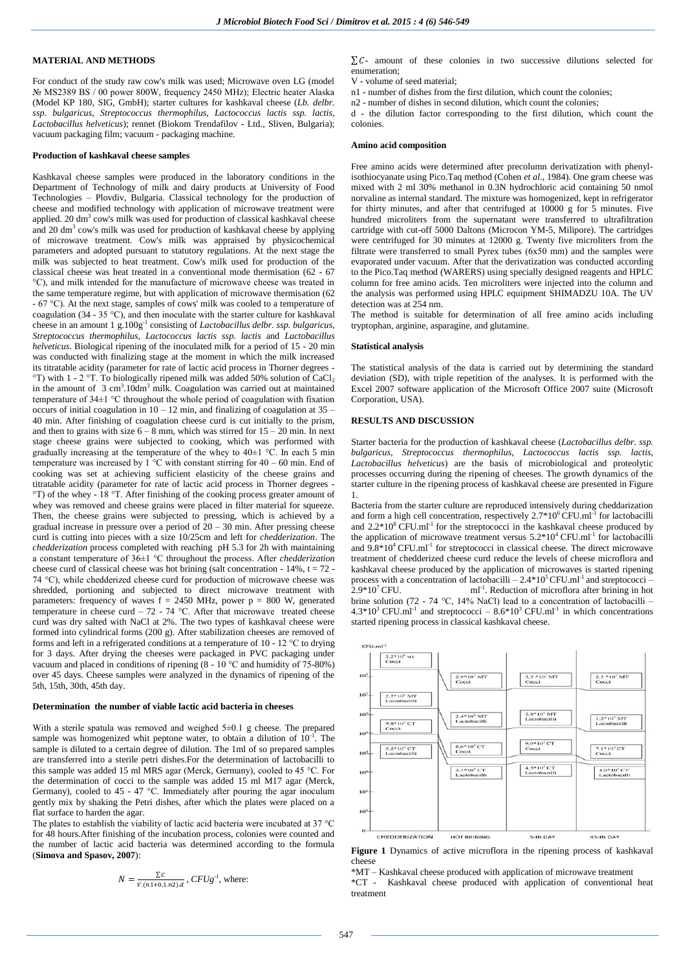# **MATERIAL AND METHODS**

For conduct of the study raw cow's milk was used; Microwave oven LG (model № MS2389 BS / 00 power 800W, frequency 2450 MHz); Electric heater Alaska (Model KP 180, SIG, GmbH); starter cultures for kashkaval cheese (*Lb. delbr. ssp. bulgaricus, Streptococcus thermophilus, Lactococcus lactis ssp. lactis, Lactobacillus helveticus*); rennet (Biokom Trendafilov - Ltd., Sliven, Bulgaria); vacuum packaging film; vacuum - packaging machine.

#### **Production of kashkaval cheese samples**

Kashkaval cheese samples were produced in the laboratory conditions in the Department of Technology of milk and dairy products at University of Food Technologies – Plovdiv, Bulgaria. Classical technology for the production of cheese and modified technology with application of microwave treatment were applied. 20 dm 3 cow's milk was used for production of classical kashkaval cheese and 20 dm<sup>3</sup> cow's milk was used for production of kashkaval cheese by applying of microwave treatment. Cow's milk was appraised by physicochemical parameters and adopted pursuant to statutory regulations. At the next stage the milk was subjected to heat treatment. Cow's milk used for production of the classical cheese was heat treated in a conventional mode thermisation (62 - 67 °C), and milk intended for the manufacture of microwave cheese was treated in the same temperature regime, but with application of microwave thermisation (62 - 67 °C). At the next stage, samples of cows' milk was cooled to a temperature of coagulation (34 - 35 °C), and then inoculate with the starter culture for kashkaval cheese in an amount 1 g.100g<sup>-1</sup> consisting of *Lactobacillus delbr. ssp. bulgaricus, Streptococcus thermophilus, Lactococcus lactis ssp. lactis* and *Lactobacillus helveticus*. Biological ripening of the inoculated milk for a period of 15 - 20 min was conducted with finalizing stage at the moment in which the milk increased its titratable acidity (parameter for rate of lactic acid process in Thorner degrees - °T) with 1 - 2 °T. To biologically ripened milk was added 50% solution of  $CaCl<sub>2</sub>$ in the amount of  $3 \text{ cm}^3.10 \text{dm}^3$  milk. Coagulation was carried out at maintained temperature of 34±1 °C throughout the whole period of coagulation with fixation occurs of initial coagulation in  $10 - 12$  min, and finalizing of coagulation at  $35 -$ 40 min. After finishing of coagulation cheese curd is cut initially to the prism, and then to grains with size  $6 - 8$  mm, which was stirred for  $15 - 20$  min. In next stage cheese grains were subjected to cooking, which was performed with gradually increasing at the temperature of the whey to  $40\pm1$  °C. In each 5 min temperature was increased by  $1^{\circ}$ C with constant stirring for 40 – 60 min. End of cooking was set at achieving sufficient elasticity of the cheese grains and titratable acidity (parameter for rate of lactic acid process in Thorner degrees - °T) of the whey - 18 °T. After finishing of the cooking process greater amount of whey was removed and cheese grains were placed in filter material for squeeze. Then, the cheese grains were subjected to pressing, which is achieved by a gradual increase in pressure over a period of  $20 - 30$  min. After pressing cheese curd is cutting into pieces with a size 10/25cm and left for *chedderization*. The *chedderization* process completed with reaching pH 5.3 for 2h with maintaining a constant temperature of 36±1 °C throughout the process. After *chedderization* cheese curd of classical cheese was hot brining (salt concentration -  $14\%$ ,  $t = 72$  -74 °C), while chedderized cheese curd for production of microwave cheese was shredded, portioning and subjected to direct microwave treatment with parameters: frequency of waves  $f = 2450$  MHz, power  $p = 800$  W, generated temperature in cheese curd – 72 - 74 °C. After that microwave treated cheese curd was dry salted with NaCl at 2%. The two types of kashkaval cheese were formed into cylindrical forms (200 g). After stabilization cheeses are removed of forms and left in a refrigerated conditions at a temperature of 10 - 12 °C to drying for 3 days. After drying the cheeses were packaged in PVC packaging under vacuum and placed in conditions of ripening (8 - 10 °C and humidity of 75-80%) over 45 days. Cheese samples were analyzed in the dynamics of ripening of the 5th, 15th, 30th, 45th day.

## **Determination the number of viable lactic acid bacteria in cheeses**

With a sterile spatula was removed and weighed  $5\pm0.1$  g cheese. The prepared sample was homogenized whit peptone water, to obtain a dilution of  $10^{-1}$ . The sample is diluted to a certain degree of dilution. The 1ml of so prepared samples are transferred into a sterile petri dishes.For the determination of lactobacilli to this sample was added 15 ml MRS agar (Merck, Germany), cooled to 45 °C. For the determination of cocci to the sample was added 15 ml M17 agar (Merck, Germany), cooled to 45 - 47 °C. Immediately after pouring the agar inoculum gently mix by shaking the Petri dishes, after which the plates were placed on a flat surface to harden the agar.

The plates to establish the viability of lactic acid bacteria were incubated at 37 °C for 48 hours.After finishing of the incubation process, colonies were counted and the number of lactic acid bacteria was determined according to the formula (**Simova and Spasov, 2007**):

$$
N = \frac{\sum C}{V.(n1+0,1.n2).d}
$$
,  $CFUg^{-l}$ , where:

 $\sum C$ - amount of these colonies in two successive dilutions selected for enumeration;

V - volume of seed material;

n1 - number of dishes from the first dilution, which count the colonies;

n2 - number of dishes in second dilution, which count the colonies;

d - the dilution factor corresponding to the first dilution, which count the colonies.

## **Amino acid composition**

Free amino acids were determined after precolumn derivatization with phenylisothiocyanate using Pico.Taq method (Cohen *et al*., 1984). One gram cheese was mixed with 2 ml 30% methanol in 0.3N hydrochloric acid containing 50 nmol norvaline as internal standard. The mixture was homogenized, kept in refrigerator for thirty minutes, and after that centrifuged at  $10000 \text{ g}$  for  $\overline{5}$  minutes. Five hundred microliters from the supernatant were transferred to ultrafiltration cartridge with cut-off 5000 Daltons (Microcon YM-5, Milipore). The cartridges were centrifuged for 30 minutes at 12000 g. Twenty five microliters from the filtrate were transferred to small Pyrex tubes (6x50 mm) and the samples were evaporated under vacuum. After that the derivatization was conducted according to the Pico.Taq method (WARERS) using specially designed reagents and HPLC column for free amino acids. Ten microliters were injected into the column and the analysis was performed using HPLC equipment SHIMADZU 10A. The UV detection was at 254 nm.

The method is suitable for determination of all free amino acids including tryptophan, arginine, asparagine, and glutamine.

### **Statistical analysis**

The statistical analysis of the data is carried out by determining the standard deviation (SD), with triple repetition of the analyses. It is performed with the Excel 2007 software application of the Microsoft Office 2007 suite (Microsoft Corporation, USA).

### **RESULTS AND DISCUSSION**

Starter bacteria for the production of kashkaval cheese (*Lactobacillus delbr. ssp. bulgaricus, Streptococcus thermophilus, Lactococcus lactis ssp. lactis, Lactobacillus helveticus*) are the basis of microbiological and proteolytic processes occurring during the ripening of cheeses. The growth dynamics of the starter culture in the ripening process of kashkaval cheese are presented in Figure 1.

Bacteria from the starter culture are reproduced intensively during cheddarization and form a high cell concentration, respectively  $2.7*10^6$  CFU.ml<sup>-1</sup> for lactobacilli and  $2.2*10<sup>8</sup>$  CFU.ml<sup>-1</sup> for the streptococci in the kashkaval cheese produced by the application of microwave treatment versus  $5.2*10<sup>4</sup>$  CFU.ml<sup>-1</sup> for lactobacilli and  $9.8*10<sup>4</sup>$  CFU.ml<sup>-1</sup> for streptococci in classical cheese. The direct microwave treatment of chedderized cheese curd reduce the levels of cheese microflora and kashkaval cheese produced by the application of microwaves is started ripening process with a concentration of lactobacilli –  $2.4*10<sup>5</sup>CFU.m<sup>-1</sup>$  and streptococci –  $2.9*10^7$  CFU. ml<sup>-1</sup>. Reduction of microflora after brining in hot brine solution (72 - 74 °C, 14% NaCl) lead to a concentration of lactobacilli –  $4.3*10<sup>3</sup>$  CFU.ml<sup>-1</sup> and streptococci –  $8.6*10<sup>3</sup>$  CFU.ml<sup>-1</sup> in which concentrations started ripening process in classical kashkaval cheese.



**Figure 1** Dynamics of active microflora in the ripening process of kashkaval cheese

\*MT – Kashkaval cheese produced with application of microwave treatment \*CT - Kashkaval cheese produced with application of conventional heat treatment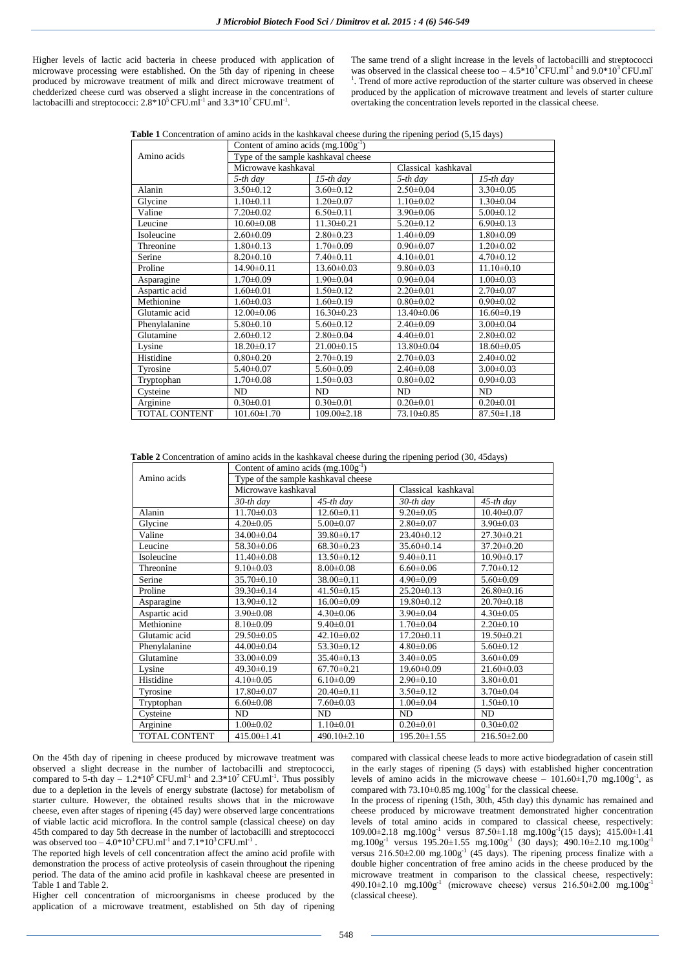Higher levels of lactic acid bacteria in cheese produced with application of microwave processing were established. On the 5th day of ripening in cheese produced by microwave treatment of milk and direct microwave treatment of chedderized cheese curd was observed a slight increase in the concentrations of lactobacilli and streptococci:  $2.8*10<sup>5</sup>$  CFU.ml<sup>-1</sup> and  $3.3*10<sup>7</sup>$  CFU.ml<sup>-1</sup>.

The same trend of a slight increase in the levels of lactobacilli and streptococci was observed in the classical cheese too  $-4.5*10^3$  CFU.ml<sup>-1</sup> and  $9.0*10^3$  CFU.ml<sup>-1</sup>  $<sup>1</sup>$ . Trend of more active reproduction of the starter culture was observed in cheese</sup> produced by the application of microwave treatment and levels of starter culture overtaking the concentration levels reported in the classical cheese.

**Table 1** Concentration of amino acids in the kashkaval cheese during the ripening period (5,15 days)

|                      | Content of amino acids $(mg.100g^{-1})$ |                   |                     |                  |  |  |
|----------------------|-----------------------------------------|-------------------|---------------------|------------------|--|--|
| Amino acids          | Type of the sample kashkaval cheese     |                   |                     |                  |  |  |
|                      | Microwave kashkaval                     |                   | Classical kashkaval |                  |  |  |
|                      | 5-th day                                | $15$ -th day      | $5$ -th day         | $15$ -th day     |  |  |
| Alanin               | $3.50 \pm 0.12$                         | $3.60 \pm 0.12$   | $2.50 \pm 0.04$     | $3.30\pm0.05$    |  |  |
| Glycine              | $1.10 \pm 0.11$                         | $1.20 \pm 0.07$   | $1.10 \pm 0.02$     | $1.30 \pm 0.04$  |  |  |
| Valine               | $7.20 \pm 0.02$                         | $6.50 \pm 0.11$   | $3.90 \pm 0.06$     | $5.00 \pm 0.12$  |  |  |
| Leucine              | $10.60 \pm 0.08$                        | $11.30 \pm 0.21$  | $5.20 \pm 0.12$     | $6.90 \pm 0.13$  |  |  |
| Isoleucine           | $2.60\pm0.09$                           | $2.80 \pm 0.23$   | $1.40 \pm 0.09$     | $1.80 \pm 0.09$  |  |  |
| Threonine            | $1.80 \pm 0.13$                         | $1.70 \pm 0.09$   | $0.90 \pm 0.07$     | $1.20 \pm 0.02$  |  |  |
| Serine               | $8.20 \pm 0.10$                         | $7.40 \pm 0.11$   | $4.10 \pm 0.01$     | $4.70 \pm 0.12$  |  |  |
| Proline              | $14.90 \pm 0.11$                        | $13.60 \pm 0.03$  | $9.80 \pm 0.03$     | $11.10 \pm 0.10$ |  |  |
| Asparagine           | $1.70 \pm 0.09$                         | $1.90 \pm 0.04$   | $0.90 \pm 0.04$     | $1.00 \pm 0.03$  |  |  |
| Aspartic acid        | $1.60 \pm 0.01$                         | $1.50 \pm 0.12$   | $2.20 \pm 0.01$     | $2.70 \pm 0.07$  |  |  |
| Methionine           | $1.60 \pm 0.03$                         | $1.60 \pm 0.19$   | $0.80 \pm 0.02$     | $0.90 \pm 0.02$  |  |  |
| Glutamic acid        | $12.00\pm0.06$                          | $16.30\pm0.23$    | $13.40\pm0.06$      | $16.60 \pm 0.19$ |  |  |
| Phenylalanine        | $5.80\pm0.10$                           | $5.60 \pm 0.12$   | $2.40\pm0.09$       | $3.00 \pm 0.04$  |  |  |
| Glutamine            | $2.60 \pm 0.12$                         | $2.80 \pm 0.04$   | $4.40 \pm 0.01$     | $2.80 \pm 0.02$  |  |  |
| Lysine               | $18.20 \pm 0.17$                        | $21.00 \pm 0.15$  | 13.80±0.04          | $18.60 \pm 0.05$ |  |  |
| Histidine            | $0.80 \pm 0.20$                         | $2.70 \pm 0.19$   | $2.70 \pm 0.03$     | $2.40\pm0.02$    |  |  |
| Tyrosine             | $5.40\pm0.07$                           | $5.60 \pm 0.09$   | $2.40 \pm 0.08$     | $3.00 \pm 0.03$  |  |  |
| Tryptophan           | $1.70 \pm 0.08$                         | $1.50 \pm 0.03$   | $0.80 \pm 0.02$     | $0.90 \pm 0.03$  |  |  |
| Cysteine             | ND                                      | ND                | ND                  | ND               |  |  |
| Arginine             | $0.30 \pm 0.01$                         | $0.30 \pm 0.01$   | $0.20 \pm 0.01$     | $0.20 \pm 0.01$  |  |  |
| <b>TOTAL CONTENT</b> | $101.60 \pm 1.70$                       | $109.00 \pm 2.18$ | 73.10±0.85          | $87.50 \pm 1.18$ |  |  |

**Table 2** Concentration of amino acids in the kashkaval cheese during the ripening period (30, 45days)

|                      | Content of amino acids $(mg.100g^{-1})$ |                   |                     |                   |  |  |
|----------------------|-----------------------------------------|-------------------|---------------------|-------------------|--|--|
| Amino acids          | Type of the sample kashkaval cheese     |                   |                     |                   |  |  |
|                      | Microwave kashkaval                     |                   | Classical kashkaval |                   |  |  |
|                      | 30-th day                               | $45$ -th day      | 30-th day           | 45-th day         |  |  |
| Alanin               | $11.70 \pm 0.03$                        | $12.60 \pm 0.11$  | $9.20 \pm 0.05$     | $10.40 \pm 0.07$  |  |  |
| Glycine              | $4.20 \pm 0.05$                         | $5.00 \pm 0.07$   | $2.80 \pm 0.07$     | $3.90 \pm 0.03$   |  |  |
| Valine               | $34.00 \pm 0.04$                        | 39.80±0.17        | $23.40\pm0.12$      | $27.30 \pm 0.21$  |  |  |
| Leucine              | 58.30±0.06                              | $68.30\pm0.23$    | $35.60 \pm 0.14$    | $37.20 \pm 0.20$  |  |  |
| Isoleucine           | $11.40 \pm 0.08$                        | $13.50 \pm 0.12$  | $9.40 \pm 0.11$     | $10.90 \pm 0.17$  |  |  |
| Threonine            | $9.10 \pm 0.03$                         | $8.00 \pm 0.08$   | $6.60 \pm 0.06$     | $7.70 \pm 0.12$   |  |  |
| Serine               | 35.70±0.10                              | $38.00 \pm 0.11$  | $4.90 \pm 0.09$     | $5.60 \pm 0.09$   |  |  |
| Proline              | 39.30±0.14                              | $41.50\pm0.15$    | $25.20 \pm 0.13$    | $26.80\pm0.16$    |  |  |
| Asparagine           | $13.90 \pm 0.12$                        | $16.00\pm0.09$    | $19.80 \pm 0.12$    | $20.70 \pm 0.18$  |  |  |
| Aspartic acid        | $3.90 \pm 0.08$                         | $4.30\pm0.06$     | $3.90 \pm 0.04$     | $4.30 \pm 0.05$   |  |  |
| Methionine           | $8.10 \pm 0.09$                         | $9.40 \pm 0.01$   | $1.70 \pm 0.04$     | $2.20 \pm 0.10$   |  |  |
| Glutamic acid        | $29.50 \pm 0.05$                        | $42.10\pm0.02$    | $17.20 \pm 0.11$    | $19.50 \pm 0.21$  |  |  |
| Phenylalanine        | $44.00 \pm 0.04$                        | 53.30±0.12        | $4.80 \pm 0.06$     | $5.60 \pm 0.12$   |  |  |
| Glutamine            | $33.00 \pm 0.09$                        | $35.40\pm0.13$    | $3.40\pm0.05$       | $3.60 \pm 0.09$   |  |  |
| Lysine               | $49.30 \pm 0.19$                        | $67.70 \pm 0.21$  | $19.60 \pm 0.09$    | $21.60 \pm 0.03$  |  |  |
| Histidine            | $4.10 \pm 0.05$                         | $6.10 \pm 0.09$   | $2.90\pm0.10$       | $3.80 \pm 0.01$   |  |  |
| Tyrosine             | $17.80 \pm 0.07$                        | $20.40\pm 0.11$   | $3.50 \pm 0.12$     | $3.70 \pm 0.04$   |  |  |
| Tryptophan           | $6.60 \pm 0.08$                         | $7.60 \pm 0.03$   | $1.00 \pm 0.04$     | $1.50 \pm 0.10$   |  |  |
| Cysteine             | ND                                      | N <sub>D</sub>    | N <sub>D</sub>      | <b>ND</b>         |  |  |
| Arginine             | $1.00 \pm 0.02$                         | $1.10 \pm 0.01$   | $0.20 \pm 0.01$     | $0.30 \pm 0.02$   |  |  |
| <b>TOTAL CONTENT</b> | $415.00 \pm 1.41$                       | $490.10 \pm 2.10$ | $195.20 \pm 1.55$   | $216.50 \pm 2.00$ |  |  |

On the 45th day of ripening in cheese produced by microwave treatment was observed a slight decrease in the number of lactobacilli and streptococci, compared to 5-th day –  $1.2*10^5$  CFU.ml<sup>-1</sup> and  $2.3*10^7$  CFU.ml<sup>-1</sup>. Thus possibly due to a depletion in the levels of energy substrate (lactose) for metabolism of starter culture. However, the obtained results shows that in the microwave cheese, even after stages of ripening (45 day) were observed large concentrations of viable lactic acid microflora. In the control sample (classical cheese) on day 45th compared to day 5th decrease in the number of lactobacilli and streptococci was observed too  $-4.0*10^3$  CFU.ml<sup>-1</sup> and  $7.1*10^3$  CFU.ml<sup>-1</sup>.

The reported high levels of cell concentration affect the amino acid profile with demonstration the process of active proteolysis of casein throughout the ripening period. The data of the amino acid profile in kashkaval cheese are presented in Table 1 and Table 2.

Higher cell concentration of microorganisms in cheese produced by the application of a microwave treatment, established on 5th day of ripening compared with classical cheese leads to more active biodegradation of casein still in the early stages of ripening (5 days) with established higher concentration levels of amino acids in the microwave cheese  $-101.60\pm1.70$  mg. $100g^{-1}$ , as compared with  $73.10\pm0.85$  mg. $100g^{-1}$  for the classical cheese.

In the process of ripening (15th, 30th, 45th day) this dynamic has remained and cheese produced by microwave treatment demonstrated higher concentration levels of total amino acids in compared to classical cheese, respectively: 109.00±2.18 mg.100g-1 versus 87.50±1.18 mg.100g-1 (15 days); 415.00±1.41 mg.100g-1 versus 195.20±1.55 mg.100g-1 (30 days); 490.10±2.10 mg.100g-1 versus  $216.50 \pm 2.00$  mg. $100g^{-1}$  (45 days). The ripening process finalize with a double higher concentration of free amino acids in the cheese produced by the microwave treatment in comparison to the classical cheese, respectively: 490.10 $\pm$ 2.10 mg.100g<sup>-1</sup> (microwave cheese) versus 216.50 $\pm$ 2.00 mg.100g<sup>-1</sup> (classical cheese).